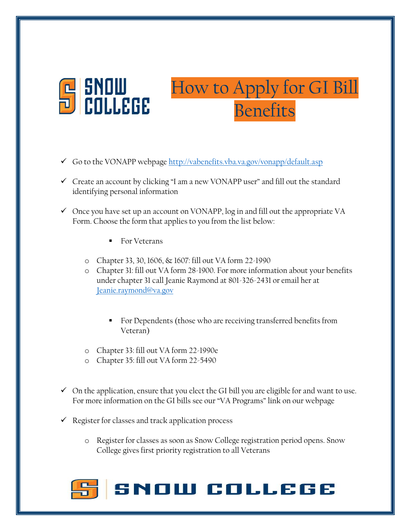

## How to Apply for GI Bill Benefits

- Go to the VONAPP webpage<http://vabenefits.vba.va.gov/vonapp/default.asp>
- $\checkmark$  Create an account by clicking "I am a new VONAPP user" and fill out the standard identifying personal information
- $\checkmark$  Once you have set up an account on VONAPP, log in and fill out the appropriate VA Form. Choose the form that applies to you from the list below:
	- For Veterans
	- o Chapter 33, 30, 1606, & 1607: fill out VA form 22-1990
	- o Chapter 31: fill out VA form 28-1900. For more information about your benefits under chapter 31 call Jeanie Raymond at 801-326-2431 or email her at [Jeanie.raymond@va.gov](mailto:Jeanie.raymond@va.gov)
		- For Dependents (those who are receiving transferred benefits from Veteran)
	- o Chapter 33: fill out VA form 22-1990e
	- o Chapter 35: fill out VA form 22-5490
- $\checkmark$  On the application, ensure that you elect the GI bill you are eligible for and want to use. For more information on the GI bills see our "VA Programs" link on our webpage
- $\checkmark$  Register for classes and track application process
	- o Register for classes as soon as Snow College registration period opens. Snow College gives first priority registration to all Veterans